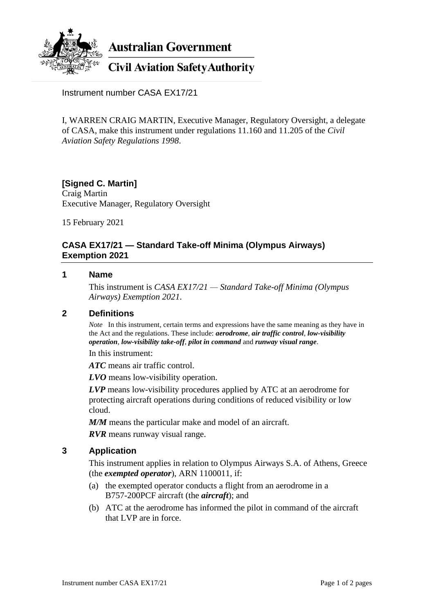

**Australian Government** 

# **Civil Aviation Safety Authority**

Instrument number CASA EX17/21

I, WARREN CRAIG MARTIN, Executive Manager, Regulatory Oversight, a delegate of CASA, make this instrument under regulations 11.160 and 11.205 of the *Civil Aviation Safety Regulations 1998*.

## **[Signed C. Martin]** Craig Martin

Executive Manager, Regulatory Oversight

15 February 2021

# **CASA EX17/21 — Standard Take-off Minima (Olympus Airways) Exemption 2021**

## **1 Name**

This instrument is *CASA EX17/21 — Standard Take-off Minima (Olympus Airways) Exemption 2021*.

# **2 Definitions**

*Note* In this instrument, certain terms and expressions have the same meaning as they have in the Act and the regulations. These include: *aerodrome*, *air traffic control*, *low-visibility operation*, *low-visibility take-off*, *pilot in command* and *runway visual range*.

In this instrument:

*ATC* means air traffic control.

*LVO* means low-visibility operation.

*LVP* means low-visibility procedures applied by ATC at an aerodrome for protecting aircraft operations during conditions of reduced visibility or low cloud.

*M/M* means the particular make and model of an aircraft.

*RVR* means runway visual range.

# **3 Application**

This instrument applies in relation to Olympus Airways S.A. of Athens, Greece (the *exempted operator*), ARN 1100011, if:

- (a) the exempted operator conducts a flight from an aerodrome in a B757-200PCF aircraft (the *aircraft*); and
- (b) ATC at the aerodrome has informed the pilot in command of the aircraft that LVP are in force.